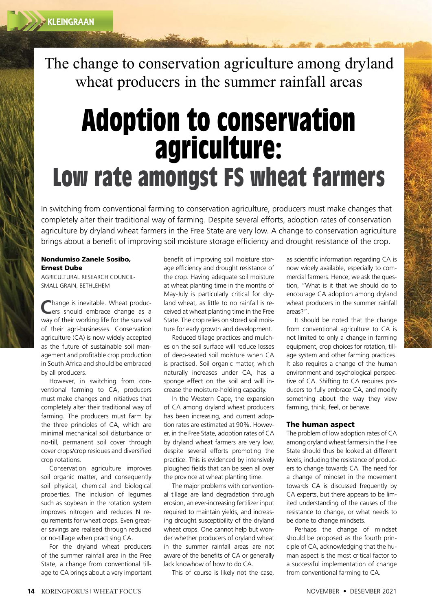The change to conservation agriculture among dryland wheat producers in the summer rainfall areas

## **Adoption to conservation agriculture: Low rate amongst FS wheat farmers**

In switching from conventional farming to conservation agriculture, producers must make changes that completely alter their traditional way of farming. Despite several efforts, adoption rates of conservation agriculture by dryland wheat farmers in the Free State are very low. A change to conservation agriculture brings about a benefit of improving soil moisture storage efficiency and drought resistance of the crop.

## Nondumiso Zanele Sosibo, Ernest Dube

AGRICULTURAL RESEARCH COUNCIL-SMALL GRAIN, BETHLEHEM

Change is inevitable. Wheat produc-<br>
Lers should embrace change as a hange is inevitable. Wheat producway of their working life for the survival of their agri-businesses. Conservation agriculture (CA) is now widely accepted as the future of sustainable soil management and profitable crop production in South Africa and should be embraced by all producers.

However, in switching from conventional farming to CA, producers must make changes and initiatives that completely alter their traditional way of farming. The producers must farm by the three principles of CA, which are minimal mechanical soil disturbance or no-till, permanent soil cover through cover crops/crop residues and diversified crop rotations.

Conservation agriculture improves soil organic matter, and consequently soil physical, chemical and biological properties. The inclusion of legumes such as soybean in the rotation system improves nitrogen and reduces N requirements for wheat crops. Even greater savings are realised through reduced or no-tillage when practising CA.

For the dryland wheat producers of the summer rainfall area in the Free State, a change from conventional tillage to CA brings about a very important benefit of improving soil moisture storage efficiency and drought resistance of the crop. Having adequate soil moisture at wheat planting time in the months of May-July is particularly critical for dryland wheat, as little to no rainfall is received at wheat planting time in the Free State. The crop relies on stored soil moisture for early growth and development.

Reduced tillage practices and mulches on the soil surface will reduce losses of deep-seated soil moisture when CA is practised. Soil organic matter, which naturally increases under CA, has a sponge effect on the soil and will increase the moisture-holding capacity.

In the Western Cape, the expansion of CA among dryland wheat producers has been increasing, and current adoption rates are estimated at 90%. However, in the Free State, adoption rates of CA by dryland wheat farmers are very low, despite several efforts promoting the practice. This is evidenced by intensively ploughed fields that can be seen all over the province at wheat planting time.

The major problems with conventional tillage are land degradation through erosion, an ever-increasing fertilizer input required to maintain yields, and increasing drought susceptibility of the dryland wheat crops. One cannot help but wonder whether producers of dryland wheat in the summer rainfall areas are not aware of the benefits of CA or generally lack knowhow of how to do CA.

This of course is likely not the case,

as scientific information regarding CA is now widely available, especially to commercial farmers. Hence, we ask the question, "What is it that we should do to encourage CA adoption among dryland wheat producers in the summer rainfall areas?".

It should be noted that the change from conventional agriculture to CA is not limited to only a change in farming equipment, crop choices for rotation, tillage system and other farming practices. It also requires a change of the human environment and psychological perspective of CA. Shifting to CA requires producers to fully embrace CA, and modify something about the way they view farming, think, feel, or behave.

## The human aspect

The problem of low adoption rates of CA among dryland wheat farmers in the Free State should thus be looked at different levels, including the resistance of producers to change towards CA. The need for a change of mindset in the movement towards CA is discussed frequently by CA experts, but there appears to be limited understanding of the causes of the resistance to change, or what needs to be done to change mindsets.

Perhaps the change of mindset should be proposed as the fourth principle of CA, acknowledging that the human aspect is the most critical factor to a successful implementation of change from conventional farming to CA.